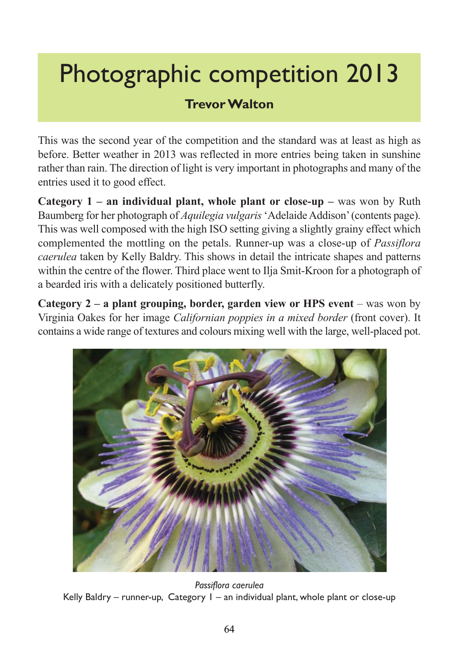## Photographic competition 2013

## **Trevor Walton**

This was the second year of the competition and the standard was at least as high as before. Better weather in 2013 was reflected in more entries being taken in sunshine rather than rain. The direction of light is very important in photographs and many of the entries used it to good effect.

**Category 1 – an individual plant, whole plant or close-up – was won by Ruth** Baumberg for her photograph of *Aquilegia vulgaris*'Adelaide Addison' (contents page). This was well composed with the high ISO setting giving a slightly grainy effect which complemented the mottling on the petals. Runner-up was a close-up of *Passiflora caerulea* taken by Kelly Baldry. This shows in detail the intricate shapes and patterns within the centre of the flower. Third place went to Ilja Smit-Kroon for a photograph of a bearded iris with a delicately positioned butterfly.

**Category 2 – a plant grouping, border, garden view or HPS event** – was won by Virginia Oakes for her image *Californian poppies in a mixed border* (front cover). It contains a wide range of textures and colours mixing well with the large, well-placed pot.



*Passiflora caerulea* Kelly Baldry – runner-up, Category  $1 -$  an individual plant, whole plant or close-up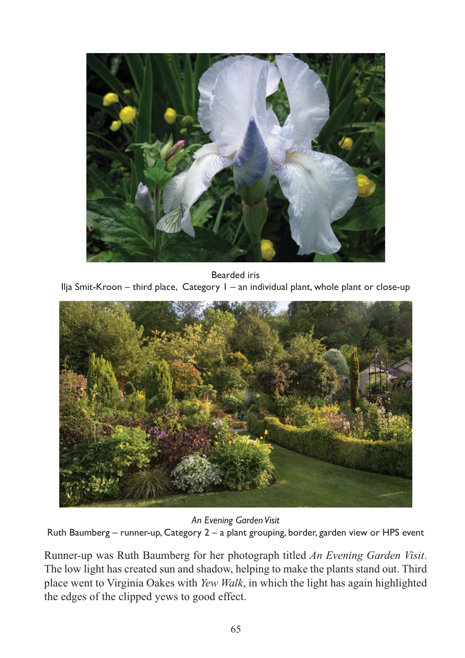

Bearded iris

Ilja Smit-Kroon – third place, Category 1 – an individual plant, whole plant or close-up



*An Evening Garden Visit*  Ruth Baumberg – runner-up, Category 2 – a plant grouping, border, garden view or HPS event

Runner-up was Ruth Baumberg for her photograph titled *An Evening Garden Visit*. The low light has created sun and shadow, helping to make the plants stand out. Third place went to Virginia Oakes with *Yew Walk*, in which the light has again highlighted the edges of the clipped yews to good effect.